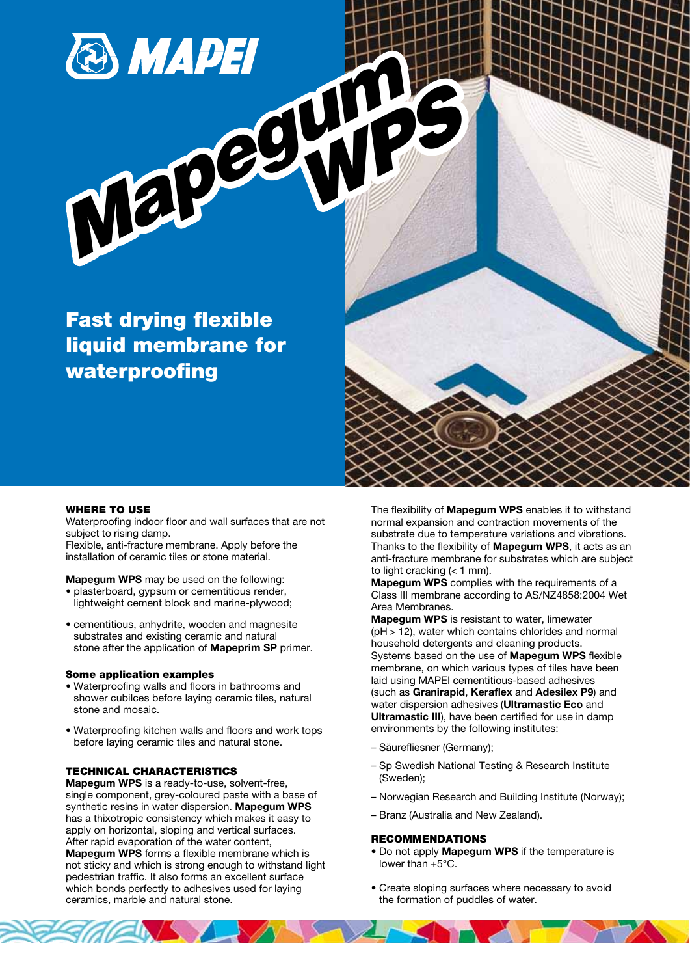

Fast drying flexible liquid membrane for waterproofing

#### WHERE TO USE

Waterproofing indoor floor and wall surfaces that are not subject to rising damp.

Flexible, anti-fracture membrane. Apply before the installation of ceramic tiles or stone material.

Mapegum WPS may be used on the following: plasterboard, gypsum or cementitious render,

- lightweight cement block and marine-plywood;
- cementitious, anhydrite, wooden and magnesite substrates and existing ceramic and natural stone after the application of **Mapeprim SP** primer.

#### Some application examples

- Waterproofing walls and floors in bathrooms and shower cubilces before laying ceramic tiles, natural stone and mosaic.
- Waterproofing kitchen walls and floors and work tops before laying ceramic tiles and natural stone.

## TECHNICAL CHARACTERISTICS

Mapegum WPS is a ready-to-use, solvent-free, single component, grey-coloured paste with a base of synthetic resins in water dispersion. Mapegum WPS has a thixotropic consistency which makes it easy to apply on horizontal, sloping and vertical surfaces. After rapid evaporation of the water content, Mapegum WPS forms a flexible membrane which is not sticky and which is strong enough to withstand light pedestrian traffic. It also forms an excellent surface which bonds perfectly to adhesives used for laying ceramics, marble and natural stone.

The flexibility of Mapegum WPS enables it to withstand normal expansion and contraction movements of the substrate due to temperature variations and vibrations. Thanks to the flexibility of Mapegum WPS, it acts as an anti-fracture membrane for substrates which are subject to light cracking  $(< 1$  mm).

Mapegum WPS complies with the requirements of a Class III membrane according to AS/NZ4858:2004 Wet Area Membranes.

Mapegum WPS is resistant to water, limewater  $(pH > 12)$ , water which contains chlorides and normal household detergents and cleaning products. Systems based on the use of Mapegum WPS flexible membrane, on which various types of tiles have been laid using MAPEI cementitious-based adhesives (such as Granirapid, Keraflex and Adesilex P9) and water dispersion adhesives (Ultramastic Eco and Ultramastic III), have been certified for use in damp environments by the following institutes:

- Säurefliesner (Germany);
- Sp Swedish National Testing & Research Institute (Sweden);
- Norwegian Research and Building Institute (Norway);
- Branz (Australia and New Zealand).

#### RECOMMENDATIONS

- Do not apply Mapegum WPS if the temperature is lower than +5°C.
- Create sloping surfaces where necessary to avoid the formation of puddles of water.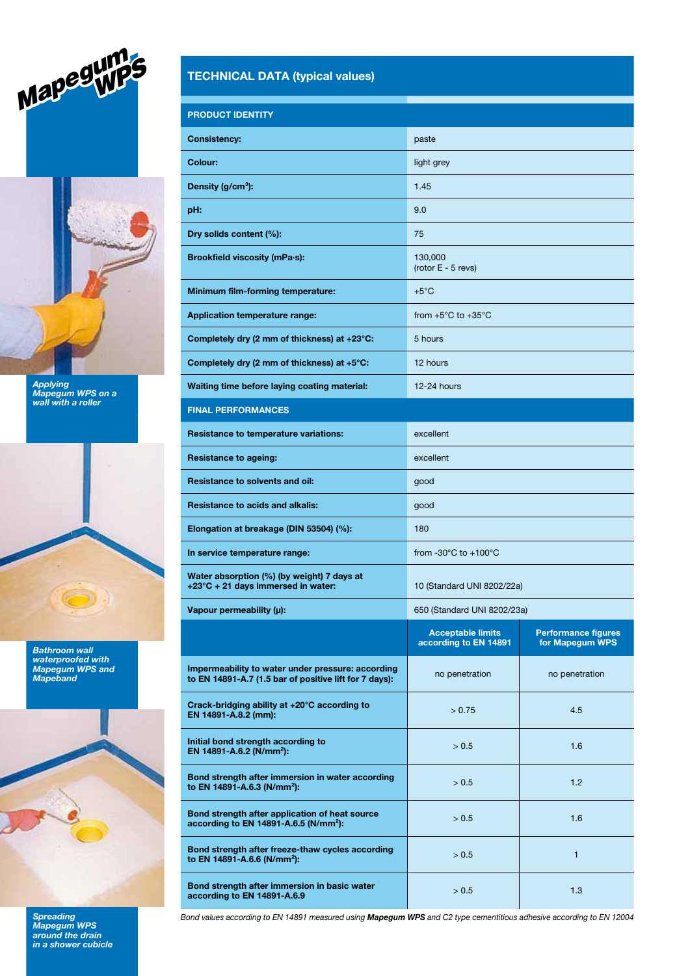



Applying Mapegum WPS on a wall with a roller



Bathroom wall waterproofed with Mapegum WPS and Mapeband



**Spreading** Mapegum WPS around the drain in a shower cubicle

# TECHNICAL DATA (typical values)

| <b>PRODUCT IDENTITY</b>                                                                                     |                                                   |                                               |
|-------------------------------------------------------------------------------------------------------------|---------------------------------------------------|-----------------------------------------------|
| <b>Consistency:</b>                                                                                         | paste                                             |                                               |
| Colour:                                                                                                     | light grey                                        |                                               |
| Density (g/cm <sup>3</sup> ):                                                                               | 1.45                                              |                                               |
| pH:                                                                                                         | 9.0                                               |                                               |
| Dry solids content (%):                                                                                     | 75                                                |                                               |
| Brookfield viscosity (mPa-s):                                                                               | 130,000<br>(rotor E - 5 revs)                     |                                               |
| Minimum film-forming temperature:                                                                           | $+5^{\circ}$ C                                    |                                               |
| <b>Application temperature range:</b>                                                                       | from $+5^{\circ}$ C to $+35^{\circ}$ C            |                                               |
| Completely dry (2 mm of thickness) at +23°C:                                                                | 5 hours                                           |                                               |
| Completely dry (2 mm of thickness) at $+5^{\circ}$ C:                                                       | 12 hours                                          |                                               |
| Waiting time before laying coating material:                                                                | 12-24 hours                                       |                                               |
| <b>FINAL PERFORMANCES</b>                                                                                   |                                                   |                                               |
| <b>Resistance to temperature variations:</b>                                                                | excellent                                         |                                               |
| <b>Resistance to ageing:</b>                                                                                | excellent                                         |                                               |
| <b>Resistance to solvents and oil:</b>                                                                      | good                                              |                                               |
| <b>Resistance to acids and alkalis:</b>                                                                     | good                                              |                                               |
| Elongation at breakage (DIN 53504) (%):                                                                     | 180                                               |                                               |
| In service temperature range:                                                                               | from -30 $^{\circ}$ C to +100 $^{\circ}$ C        |                                               |
| Water absorption (%) (by weight) 7 days at<br>$+23^{\circ}$ C + 21 days immersed in water:                  | 10 (Standard UNI 8202/22a)                        |                                               |
| Vapour permeability $(\mu)$ :                                                                               | 650 (Standard UNI 8202/23a)                       |                                               |
|                                                                                                             | <b>Acceptable limits</b><br>according to EN 14891 | <b>Performance figures</b><br>for Mapegum WPS |
| Impermeability to water under pressure: according<br>to EN 14891-A.7 (1.5 bar of positive lift for 7 days): | no penetration                                    | no penetration                                |
| Crack-bridging ability at +20°C according to<br>EN 14891-A.8.2 (mm):                                        | > 0.75                                            | 4.5                                           |
| Initial bond strength according to<br>EN 14891-A.6.2 (N/mm <sup>2</sup> ):                                  | > 0.5                                             | 1.6                                           |
| Bond strength after immersion in water according<br>to EN 14891-A.6.3 (N/mm <sup>2</sup> ):                 | > 0.5                                             | 1.2                                           |
| Bond strength after application of heat source<br>according to EN 14891-A.6.5 (N/mm <sup>2</sup> ):         | > 0.5                                             | 1.6                                           |
| Bond strength after freeze-thaw cycles according<br>to EN 14891-A.6.6 (N/mm <sup>2</sup> ):                 | > 0.5                                             | $\mathbf{1}$                                  |
| Bond strength after immersion in basic water<br>according to EN 14891-A.6.9                                 | > 0.5                                             | 1.3                                           |

Bond values according to EN 14891 measured using Mapegum WPS and C2 type cementitious adhesive according to EN 12004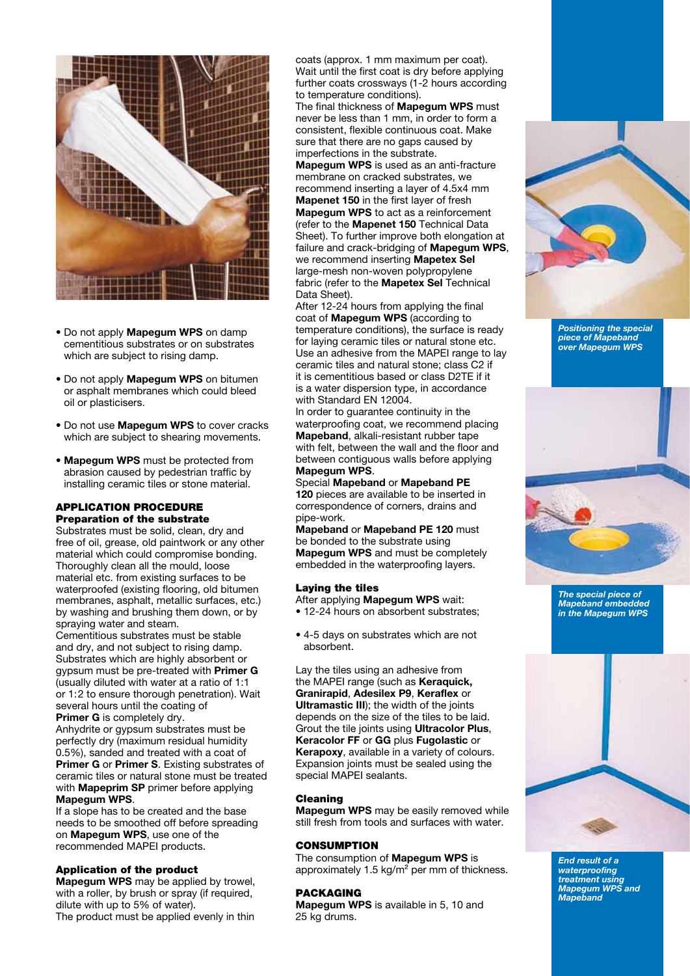

- Do not apply Mapegum WPS on damp cementitious substrates or on substrates which are subject to rising damp.
- Do not apply Mapegum WPS on bitumen or asphalt membranes which could bleed oil or plasticisers.
- Do not use Mapegum WPS to cover cracks which are subject to shearing movements.
- Mapegum WPS must be protected from abrasion caused by pedestrian traffic by installing ceramic tiles or stone material.

# APPLICATION PROCEDURE Preparation of the substrate

Substrates must be solid, clean, dry and free of oil, grease, old paintwork or any other material which could compromise bonding. Thoroughly clean all the mould, loose material etc. from existing surfaces to be waterproofed (existing flooring, old bitumen membranes, asphalt, metallic surfaces, etc.) by washing and brushing them down, or by spraying water and steam.

Cementitious substrates must be stable and dry, and not subject to rising damp. Substrates which are highly absorbent or gypsum must be pre-treated with Primer G (usually diluted with water at a ratio of 1:1 or 1:2 to ensure thorough penetration). Wait several hours until the coating of

Primer G is completely dry. Anhydrite or gypsum substrates must be perfectly dry (maximum residual humidity 0.5%), sanded and treated with a coat of Primer G or Primer S. Existing substrates of ceramic tiles or natural stone must be treated with **Mapeprim SP** primer before applying Mapegum WPS.

If a slope has to be created and the base needs to be smoothed off before spreading on Mapegum WPS, use one of the recommended MAPEI products.

#### Application of the product

Mapegum WPS may be applied by trowel, with a roller, by brush or spray (if required, dilute with up to 5% of water). The product must be applied evenly in thin coats (approx. 1 mm maximum per coat). Wait until the first coat is dry before applying further coats crossways (1-2 hours according to temperature conditions).

The final thickness of Mapegum WPS must never be less than 1 mm, in order to form a consistent, flexible continuous coat. Make sure that there are no gaps caused by imperfections in the substrate.

Mapegum WPS is used as an anti-fracture membrane on cracked substrates, we recommend inserting a layer of 4.5x4 mm Mapenet 150 in the first layer of fresh Mapegum WPS to act as a reinforcement (refer to the Mapenet 150 Technical Data Sheet). To further improve both elongation at failure and crack-bridging of Mapegum WPS, we recommend inserting Mapetex Sel large-mesh non-woven polypropylene fabric (refer to the Mapetex Sel Technical Data Sheet).

After 12-24 hours from applying the final coat of Mapegum WPS (according to temperature conditions), the surface is ready for laying ceramic tiles or natural stone etc. Use an adhesive from the MAPEI range to lay ceramic tiles and natural stone; class C2 if it is cementitious based or class D2TE if it is a water dispersion type, in accordance with Standard EN 12004.

In order to guarantee continuity in the waterproofing coat, we recommend placing Mapeband, alkali-resistant rubber tape with felt, between the wall and the floor and between contiguous walls before applying Mapegum WPS.

Special Mapeband or Mapeband PE 120 pieces are available to be inserted in correspondence of corners, drains and pipe-work.

Mapeband or Mapeband PE 120 must be bonded to the substrate using **Mapegum WPS** and must be completely embedded in the waterproofing layers.

#### Laying the tiles

After applying Mapegum WPS wait:

• 12-24 hours on absorbent substrates;

• 4-5 days on substrates which are not absorbent.

Lay the tiles using an adhesive from the MAPEI range (such as **Keraquick,** Granirapid, Adesilex P9, Keraflex or Ultramastic III); the width of the joints depends on the size of the tiles to be laid. Grout the tile joints using Ultracolor Plus, Keracolor FF or GG plus Fugolastic or Kerapoxy, available in a variety of colours. Expansion joints must be sealed using the special MAPEI sealants.

#### Cleaning

Mapegum WPS may be easily removed while still fresh from tools and surfaces with water.

#### **CONSUMPTION**

The consumption of Mapegum WPS is approximately 1.5 kg/m² per mm of thickness.

## PACKAGING

Mapegum WPS is available in 5, 10 and 25 kg drums.



Positioning the special piece of Mapeband over Mapegum WPS



The special piece of Mapeband embedded in the Mapegum WPS



End result of a waterproofing treatment using Mapegum WPS and Mapeband